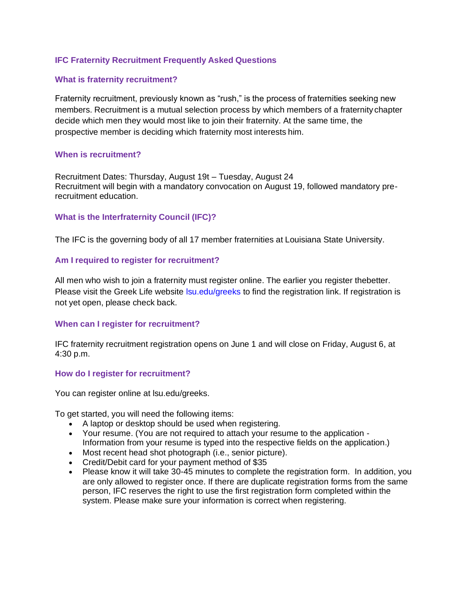# **IFC Fraternity Recruitment Frequently Asked Questions**

# **What is fraternity recruitment?**

Fraternity recruitment, previously known as "rush," is the process of fraternities seeking new members. Recruitment is a mutual selection process by which members of a fraternity chapter decide which men they would most like to join their fraternity. At the same time, the prospective member is deciding which fraternity most interests him.

## **When is recruitment?**

Recruitment Dates: Thursday, August 19t – Tuesday, August 24 Recruitment will begin with a mandatory convocation on August 19, followed mandatory prerecruitment education.

# **What is the Interfraternity Council (IFC)?**

The IFC is the governing body of all 17 member fraternities at Louisiana State University.

# **Am I required to register for recruitment?**

All men who wish to join a fraternity must register online. The earlier you register thebetter. Please visit the Greek Life website Isu.edu/greeks to find the registration link. If registration is not yet open, please check back.

# **When can I register for recruitment?**

IFC fraternity recruitment registration opens on June 1 and will close on Friday, August 6, at 4:30 p.m.

## **How do I register for recruitment?**

You can register online at lsu.edu/greeks.

To get started, you will need the following items:

- A laptop or desktop should be used when registering.
- Your resume. (You are not required to attach your resume to the application Information from your resume is typed into the respective fields on the application.)
- Most recent head shot photograph (i.e., senior picture).
- Credit/Debit card for your payment method of \$35
- Please know it will take 30-45 minutes to complete the registration form. In addition, you are only allowed to register once. If there are duplicate registration forms from the same person, IFC reserves the right to use the first registration form completed within the system. Please make sure your information is correct when registering.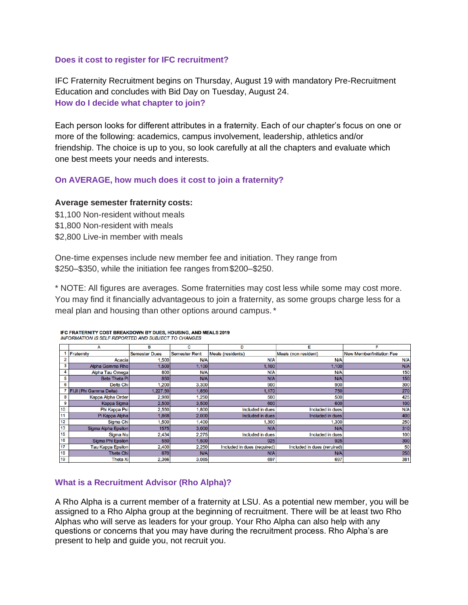## **Does it cost to register for IFC recruitment?**

IFC Fraternity Recruitment begins on Thursday, August 19 with mandatory Pre-Recruitment Education and concludes with Bid Day on Tuesday, August 24. **How do I decide what chapter to join?**

Each person looks for different attributes in a fraternity. Each of our chapter's focus on one or more of the following: academics, campus involvement, leadership, athletics and/or friendship. The choice is up to you, so look carefully at all the chapters and evaluate which one best meets your needs and interests.

# **On AVERAGE, how much does it cost to join a fraternity?**

## **Average semester fraternity costs:**

\$1,100 Non-resident without meals \$1,800 Non-resident with meals \$2,800 Live-in member with meals

One-time expenses include new member fee and initiation. They range from \$250–\$350, while the initiation fee ranges from\$200–\$250.

\* NOTE: All figures are averages. Some fraternities may cost less while some may cost more. You may find it financially advantageous to join a fraternity, as some groups charge less for a meal plan and housing than other options around campus.\*

|    | А                             | в                    | с                    | D                           | Е                           | F                                |
|----|-------------------------------|----------------------|----------------------|-----------------------------|-----------------------------|----------------------------------|
|    | Fraternity                    | <b>Semester Dues</b> | <b>Semester Rent</b> | Meals (residents)           | Meals (non resident)        | <b>New Member/Initiation Fee</b> |
|    | Acacia                        | 1,500                | N/A                  | N/A                         | N/A                         | N/A                              |
| 3  | Alpha Gamma Rho               | 1,500                | 1,100                | 1,100                       | 1,100                       | N/A                              |
| 4  | Alpha Tau Omega               | 800                  | N/A                  | N/A                         | N/A                         | 150                              |
| 5  | <b>Beta Theta Pi</b>          | 850                  | N/A                  | N/A                         | N/A                         | 150                              |
| 6  | Delta Chi                     | .200                 | 3,300                | 900                         | 900                         | 300                              |
|    | <b>FIJI (Phi Gamma Delta)</b> | .227.50              | 1,850                | 1.170                       | 750                         | 270                              |
| 8  | Kappa Alpha Order             | 2,980                | 1,250                | 500                         | 500                         | 425                              |
| 9  | Kappa Sigma                   | 2.500                | 3,500                | 600                         | 600                         | 100                              |
| 10 | Phi Kappa Psi                 | 2,550                | 1,800                | Included in dues            | Included in dues            | N/A                              |
| 11 | Pi Kappa Alpha                | 1,868                | 2,000                | Included in dues            | Included in dues            | 400                              |
| 12 | Sigma Chi                     | 1,500                | 1,400                | 1,300                       | 1,300                       | 250                              |
| 13 | Sigma Alpha Epsilon           | 1575                 | 3,000                | N/A                         | N/A                         | 310                              |
| 15 | Sigma Nu                      | 2,434                | 2,275                | Included in dues            | Included in dues            | 100                              |
| 16 | Sigma Phi Epsilon             | 550                  | 1,500                | 925                         | 925                         | 300                              |
| 17 | <b>Tau Kappa Epsilon</b>      | 2.400                | 2,250                | Included in dues (required) | Included in dues (reruired) | 50                               |
| 18 | <b>Theta Chi</b>              | 870                  | N/A                  | N/A                         | N/A                         | 250                              |
| 19 | <b>Theta Xi</b>               | 2,366                | 3,085                | 697                         | 697                         | 381                              |

#### IFC FRATERNITY COST BREAKDOWN BY DUES, HOUSING, AND MEALS 2019 **INFORMATION IS SELF REPORTED AND SUBJECT TO CHANGES**

## **What is a Recruitment Advisor (Rho Alpha)?**

A Rho Alpha is a current member of a fraternity at LSU. As a potential new member, you will be assigned to a Rho Alpha group at the beginning of recruitment. There will be at least two Rho Alphas who will serve as leaders for your group. Your Rho Alpha can also help with any questions or concerns that you may have during the recruitment process. Rho Alpha's are present to help and guide you, not recruit you.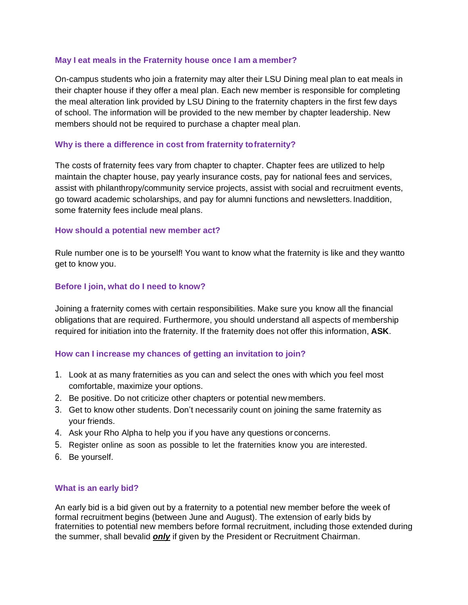# **May I eat meals in the Fraternity house once I am a member?**

On-campus students who join a fraternity may alter their LSU Dining meal plan to eat meals in their chapter house if they offer a meal plan. Each new member is responsible for completing the meal alteration link provided by LSU Dining to the fraternity chapters in the first few days of school. The information will be provided to the new member by chapter leadership. New members should not be required to purchase a chapter meal plan.

## **Why is there a difference in cost from fraternity tofraternity?**

The costs of fraternity fees vary from chapter to chapter. Chapter fees are utilized to help maintain the chapter house, pay yearly insurance costs, pay for national fees and services, assist with philanthropy/community service projects, assist with social and recruitment events, go toward academic scholarships, and pay for alumni functions and newsletters. In addition, some fraternity fees include meal plans.

## **How should a potential new member act?**

Rule number one is to be yourself! You want to know what the fraternity is like and they wantto get to know you.

# **Before I join, what do I need to know?**

Joining a fraternity comes with certain responsibilities. Make sure you know all the financial obligations that are required. Furthermore, you should understand all aspects of membership required for initiation into the fraternity. If the fraternity does not offer this information, **ASK**.

## **How can I increase my chances of getting an invitation to join?**

- 1. Look at as many fraternities as you can and select the ones with which you feel most comfortable, maximize your options.
- 2. Be positive. Do not criticize other chapters or potential new members.
- 3. Get to know other students. Don't necessarily count on joining the same fraternity as your friends.
- 4. Ask your Rho Alpha to help you if you have any questions or concerns.
- 5. Register online as soon as possible to let the fraternities know you are interested.
- 6. Be yourself.

## **What is an early bid?**

An early bid is a bid given out by a fraternity to a potential new member before the week of formal recruitment begins (between June and August). The extension of early bids by fraternities to potential new members before formal recruitment, including those extended during the summer, shall bevalid *only* if given by the President or Recruitment Chairman.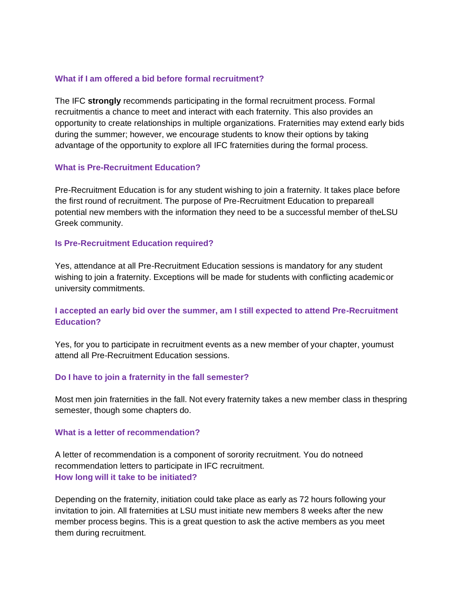# **What if I am offered a bid before formal recruitment?**

The IFC **strongly** recommends participating in the formal recruitment process. Formal recruitmentis a chance to meet and interact with each fraternity. This also provides an opportunity to create relationships in multiple organizations. Fraternities may extend early bids during the summer; however, we encourage students to know their options by taking advantage of the opportunity to explore all IFC fraternities during the formal process.

## **What is Pre-Recruitment Education?**

Pre-Recruitment Education is for any student wishing to join a fraternity. It takes place before the first round of recruitment. The purpose of Pre-Recruitment Education to prepareall potential new members with the information they need to be a successful member of theLSU Greek community.

## **Is Pre-Recruitment Education required?**

Yes, attendance at all Pre-Recruitment Education sessions is mandatory for any student wishing to join a fraternity. Exceptions will be made for students with conflicting academicor university commitments.

# **I accepted an early bid over the summer, am I still expected to attend Pre-Recruitment Education?**

Yes, for you to participate in recruitment events as a new member of your chapter, youmust attend all Pre-Recruitment Education sessions.

# **Do I have to join a fraternity in the fall semester?**

Most men join fraternities in the fall. Not every fraternity takes a new member class in thespring semester, though some chapters do.

## **What is a letter of recommendation?**

A letter of recommendation is a component of sorority recruitment. You do notneed recommendation letters to participate in IFC recruitment. **How long will it take to be initiated?**

Depending on the fraternity, initiation could take place as early as 72 hours following your invitation to join. All fraternities at LSU must initiate new members 8 weeks after the new member process begins. This is a great question to ask the active members as you meet them during recruitment.